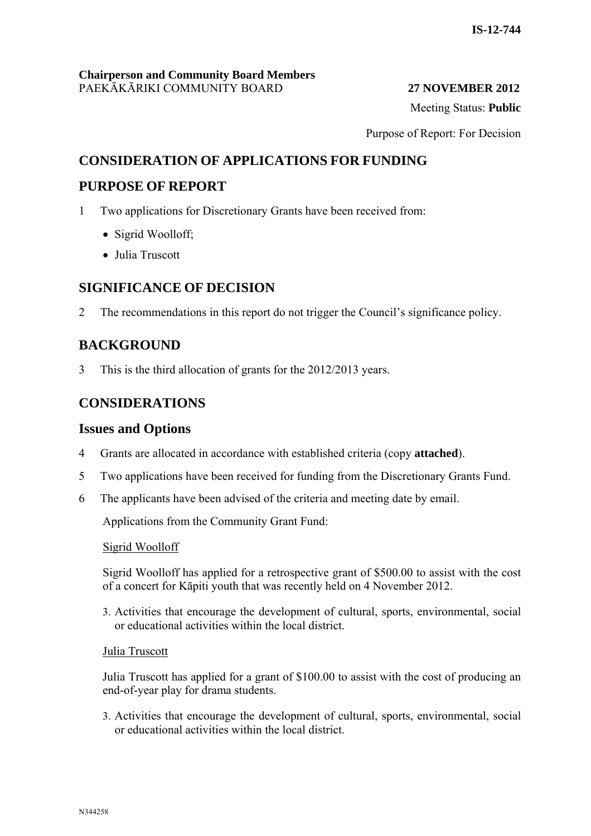Meeting Status: **Public**

Purpose of Report: For Decision

## **CONSIDERATION OF APPLICATIONS FOR FUNDING**

## **PURPOSE OF REPORT**

- 1 Two applications for Discretionary Grants have been received from:
	- Sigrid Woolloff:
	- Julia Truscott

## **SIGNIFICANCE OF DECISION**

2 The recommendations in this report do not trigger the Council's significance policy.

## **BACKGROUND**

3 This is the third allocation of grants for the 2012/2013 years.

## **CONSIDERATIONS**

#### **Issues and Options**

- 4 Grants are allocated in accordance with established criteria (copy **attached**).
- 5 Two applications have been received for funding from the Discretionary Grants Fund.
- 6 The applicants have been advised of the criteria and meeting date by email.

Applications from the Community Grant Fund:

#### Sigrid Woolloff

Sigrid Woolloff has applied for a retrospective grant of \$500.00 to assist with the cost of a concert for Kāpiti youth that was recently held on 4 November 2012.

3. Activities that encourage the development of cultural, sports, environmental, social or educational activities within the local district.

#### Julia Truscott

Julia Truscott has applied for a grant of \$100.00 to assist with the cost of producing an end-of-year play for drama students.

3. Activities that encourage the development of cultural, sports, environmental, social or educational activities within the local district.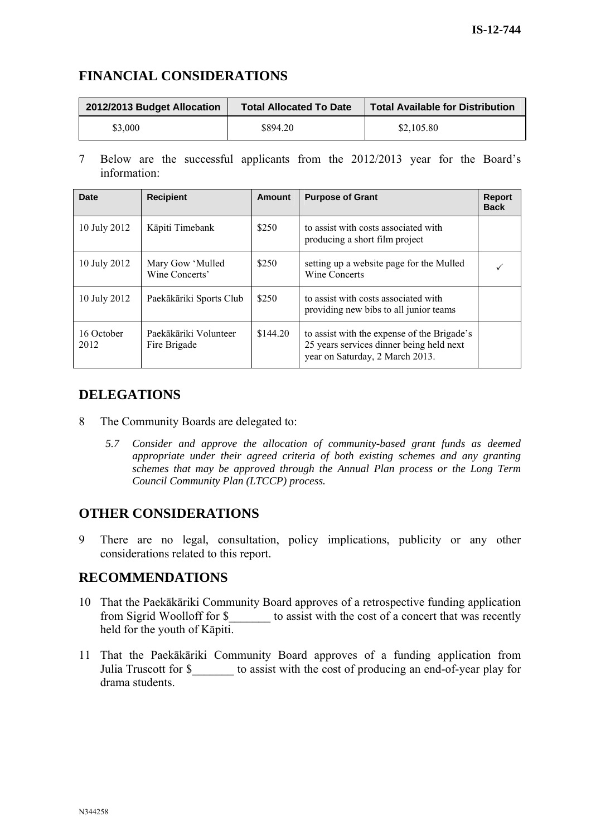## **FINANCIAL CONSIDERATIONS**

| 2012/2013 Budget Allocation | <b>Total Allocated To Date</b> | <b>Total Available for Distribution</b> |
|-----------------------------|--------------------------------|-----------------------------------------|
| \$3,000                     | \$894.20                       | \$2,105.80                              |

7 Below are the successful applicants from the 2012/2013 year for the Board's information:

| <b>Date</b>        | <b>Recipient</b>                      | <b>Amount</b> | <b>Purpose of Grant</b>                                                                                                    | <b>Report</b><br><b>Back</b> |
|--------------------|---------------------------------------|---------------|----------------------------------------------------------------------------------------------------------------------------|------------------------------|
| 10 July 2012       | Kāpiti Timebank                       | \$250         | to assist with costs associated with<br>producing a short film project                                                     |                              |
| 10 July 2012       | Mary Gow 'Mulled<br>Wine Concerts'    | \$250         | setting up a website page for the Mulled<br>Wine Concerts                                                                  |                              |
| 10 July 2012       | Paekākāriki Sports Club               | \$250         | to assist with costs associated with<br>providing new bibs to all junior teams                                             |                              |
| 16 October<br>2012 | Paekākāriki Volunteer<br>Fire Brigade | \$144.20      | to assist with the expense of the Brigade's<br>25 years services dinner being held next<br>year on Saturday, 2 March 2013. |                              |

## **DELEGATIONS**

- 8 The Community Boards are delegated to:
	- *5.7 Consider and approve the allocation of community-based grant funds as deemed appropriate under their agreed criteria of both existing schemes and any granting schemes that may be approved through the Annual Plan process or the Long Term Council Community Plan (LTCCP) process.*

## **OTHER CONSIDERATIONS**

9 There are no legal, consultation, policy implications, publicity or any other considerations related to this report.

## **RECOMMENDATIONS**

- 10 That the Paekākāriki Community Board approves of a retrospective funding application from Sigrid Woolloff for \$ to assist with the cost of a concert that was recently held for the youth of Kāpiti.
- 11 That the Paekākāriki Community Board approves of a funding application from Julia Truscott for \$ to assist with the cost of producing an end-of-year play for drama students.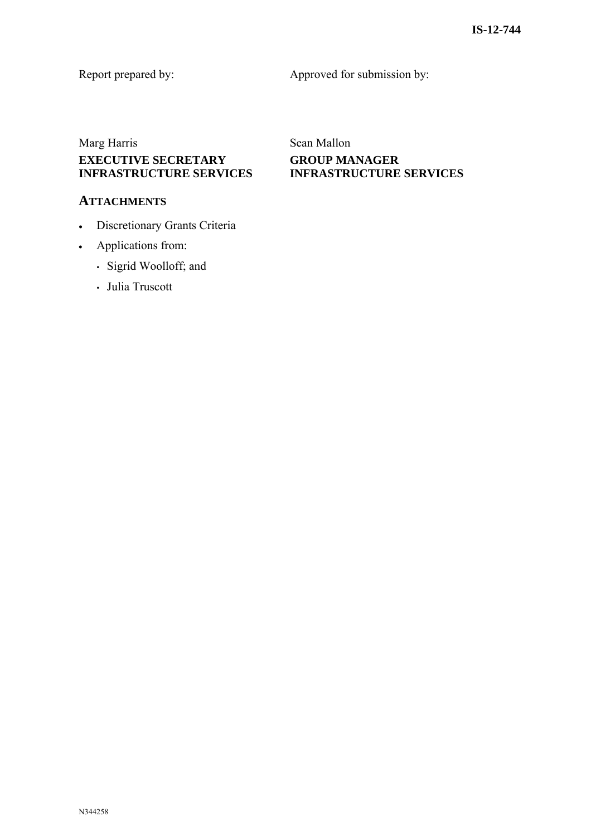Report prepared by: Approved for submission by:

## Marg Harris Sean Mallon **EXECUTIVE SECRETARY INFRASTRUCTURE SERVICES**

#### **ATTACHMENTS**

- Discretionary Grants Criteria
- Applications from:
	- Sigrid Woolloff; and
	- Julia Truscott

# **GROUP MANAGER INFRASTRUCTURE SERVICES**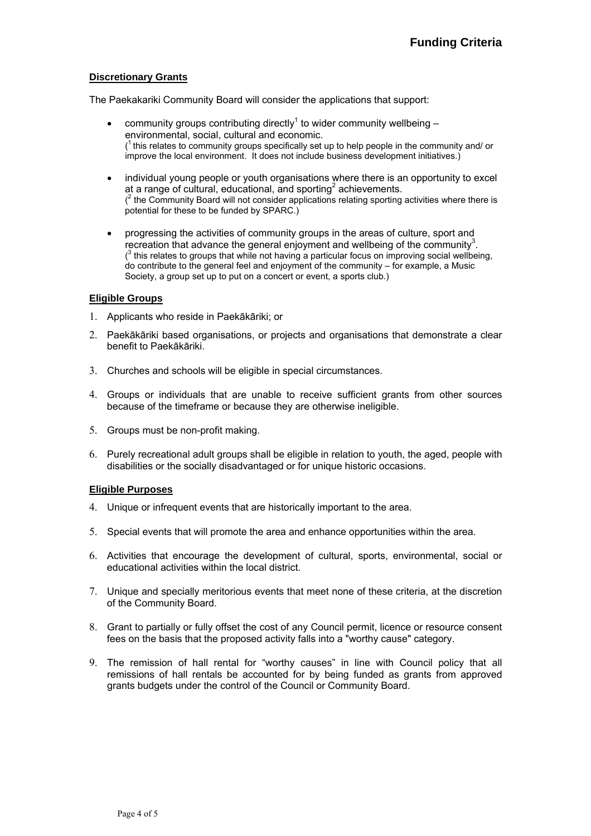#### **Discretionary Grants**

The Paekakariki Community Board will consider the applications that support:

- community groups contributing directly<sup>1</sup> to wider community wellbeing  $$ environmental, social, cultural and economic.  $(1)$  this relates to community groups specifically set up to help people in the community and/ or improve the local environment. It does not include business development initiatives.)
- individual young people or youth organisations where there is an opportunity to excel at a range of cultural, educational, and sporting<sup>2</sup> achievements.  $(2)$  the Community Board will not consider applications relating sporting activities where there is potential for these to be funded by SPARC.)
- progressing the activities of community groups in the areas of culture, sport and recreation that advance the general enjoyment and wellbeing of the community<sup>3</sup>.  $(3)$  this relates to groups that while not having a particular focus on improving social wellbeing, do contribute to the general feel and enjoyment of the community – for example, a Music Society, a group set up to put on a concert or event, a sports club.)

#### **Eligible Groups**

- 1. Applicants who reside in Paekākāriki; or
- 2. Paekākāriki based organisations, or projects and organisations that demonstrate a clear benefit to Paekākāriki.
- 3. Churches and schools will be eligible in special circumstances.
- 4. Groups or individuals that are unable to receive sufficient grants from other sources because of the timeframe or because they are otherwise ineligible.
- 5. Groups must be non-profit making.
- 6. Purely recreational adult groups shall be eligible in relation to youth, the aged, people with disabilities or the socially disadvantaged or for unique historic occasions.

#### **Eligible Purposes**

- 4. Unique or infrequent events that are historically important to the area.
- 5. Special events that will promote the area and enhance opportunities within the area.
- 6. Activities that encourage the development of cultural, sports, environmental, social or educational activities within the local district.
- 7. Unique and specially meritorious events that meet none of these criteria, at the discretion of the Community Board.
- 8. Grant to partially or fully offset the cost of any Council permit, licence or resource consent fees on the basis that the proposed activity falls into a "worthy cause" category.
- 9. The remission of hall rental for "worthy causes" in line with Council policy that all remissions of hall rentals be accounted for by being funded as grants from approved grants budgets under the control of the Council or Community Board.